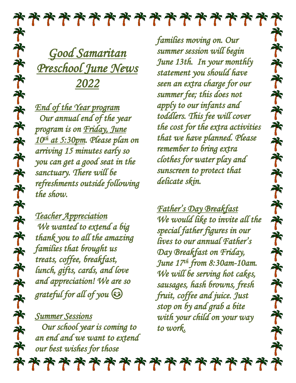

*Good Samaritan Preschool June News 2022* 

*End of the Year program Our annual end of the year program is on Friday, June 10th at 5:30pm. Please plan on arriving 15 minutes early so you can get a good seat in the sanctuary. There will be refreshments outside following the show.* 

*Teacher Appreciation We wanted to extend a big thank you to all the amazing families that brought us treats, coffee, breakfast, lunch, gifts, cards, and love and appreciation! We are so grateful for all of you* 

*Summer Sessions Our school year is coming to an end and we want to extend our best wishes for those* 

*families moving on. Our summer session will begin June 13th. In your monthly statement you should have seen an extra charge for our summer fee; this does not apply to our infants and toddlers. This fee will cover the cost for the extra activities that we have planned. Please remember to bring extra clothes for water play and sunscreen to protect that delicate skin.* 

齐

齐

齐

齐

齐

承

齐

齐

齐

个

齐

齐

齐

齐

齐

齐

齐

齐

帝

齐

*Father's Day Breakfast We would like to invite all the special father figures in our lives to our annual Father's Day Breakfast on Friday, June 17th from 8:30am-10am. We will be serving hot cakes, sausages, hash browns, fresh fruit, coffee and juice. Just stop on by and grab a bite with your child on your way to work.*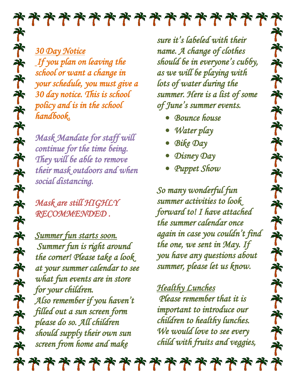*30 Day Notice If you plan on leaving the school or want a change in* 

*your schedule, you must give a 30 day notice. This is school policy and is in the school handbook.* 

*Mask Mandate for staff will continue for the time being. They will be able to remove their mask outdoors and when social distancing.* 

*Mask are still HIGHLY RECOMMENDED .* 

*Summer fun starts soon. Summer fun is right around the corner! Please take a look at your summer calendar to see what fun events are in store for your children. Also remember if you haven't filled out a sun screen form please do so. All children should supply their own sun screen from home and make* 

*sure it's labeled with their name. A change of clothes should be in everyone's cubby, as we will be playing with lots of water during the summer. Here is a list of some of June's summer events.* 

个

齐

齐

齐

齐

齐

齐

承

齐

齐

个

齐

齐

齐

齐

75

齐

齐

齐

齐

帝

- *Bounce house*
- *Water play*
- *Bike Day*
- *Disney Day*
- *Puppet Show*

*So many wonderful fun summer activities to look forward to! I have attached the summer calendar once again in case you couldn't find the one, we sent in May. If you have any questions about summer, please let us know.* 

## *Healthy Lunches*

 *Please remember that it is important to introduce our children to healthy lunches. We would love to see every child with fruits and veggies,* 

\*\*\*\*\*\*\*\*\*\*\*\*\*\*\*\*\*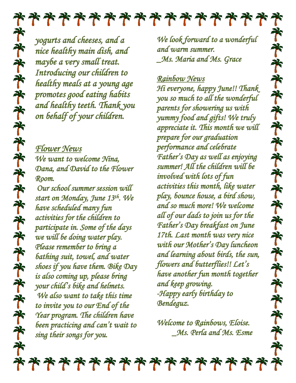*yogurts and cheeses, and a nice healthy main dish, and maybe a very small treat. Introducing our children to healthy meals at a young age promotes good eating habits and healthy teeth. Thank you on behalf of your children.* 

*Flower News We want to welcome Nina, Dana, and David to the Flower Room.* 

 *Our school summer session will start on Monday, June 13th. We have scheduled many fun activities for the children to participate in. Some of the days we will be doing water play. Please remember to bring a bathing suit, towel, and water shoes if you have them. Bike Day is also coming up, please bring your child's bike and helmets. We also want to take this time to invite you to our End of the Year program. The children have been practicing and can't wait to sing their songs for you.* 

*We look forward to a wonderful and warm summer. \_Ms. Maria and Ms. Grace* 

## *Rainbow News*

*Hi everyone, happy June!! Thank you so much to all the wonderful parents for showering us with yummy food and gifts! We truly appreciate it. This month we will prepare for our graduation performance and celebrate Father's Day as well as enjoying summer! All the children will be involved with lots of fun activities this month, like water play, bounce house, a bird show, and so much more! We welcome all of our dads to join us for the Father's Day breakfast on June 17th. Last month was very nice with our Mother's Day luncheon and learning about birds, the sun, flowers and butterflies!! Let's have another fun month together and keep growing. -Happy early birthday to Bendeguz.* 

*Welcome to Rainbows, Eloise. \_Ms. Perla and Ms. Esme*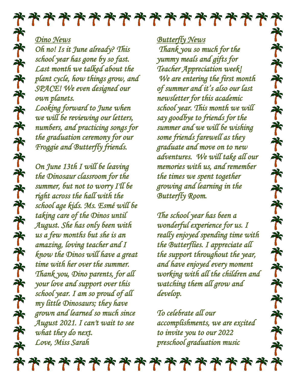

*Dino News* 

*Oh no! Is it June already? This school year has gone by so fast. Last month we talked about the plant cycle, how things grow, and SPACE! We even designed our own planets. Looking forward to June when we will be reviewing our letters, numbers, and practicing songs for the graduation ceremony for our Froggie and Butterfly friends.* 

*On June 13th I will be leaving the Dinosaur classroom for the summer, but not to worry I'll be right across the hall with the school age kids. Ms. Esmé will be taking care of the Dinos until August. She has only been with us a few months but she is an amazing, loving teacher and I know the Dinos will have a great time with her over the summer. Thank you, Dino parents, for all your love and support over this school year. I am so proud of all my little Dinosaurs; they have grown and learned so much since August 2021. I can't wait to see what they do next. Love, Miss Sarah* 

*Butterfly News* 

 *Thank you so much for the yummy meals and gifts for Teacher Appreciation week! We are entering the first month of summer and it's also our last newsletter for this academic school year. This month we will say goodbye to friends for the summer and we will be wishing some friends farewell as they graduate and move on to new adventures. We will take all our memories with us, and remember the times we spent together growing and learning in the Butterfly Room.* 

齐

齐

齐

齐

齐

齐

齐

齐

齐

承

齐

齐

齐

齐

齐

齐

齐

齐

齐

齐

*The school year has been a wonderful experience for us. I really enjoyed spending time with the Butterflies. I appreciate all the support throughout the year, and have enjoyed every moment working with all the children and watching them all grow and develop.* 

*To celebrate all our accomplishments, we are excited to invite you to our 2022 preschool graduation music* 

\*\*\*\*\*\*\*\*\*\*\*\*\*\*\*\*\*